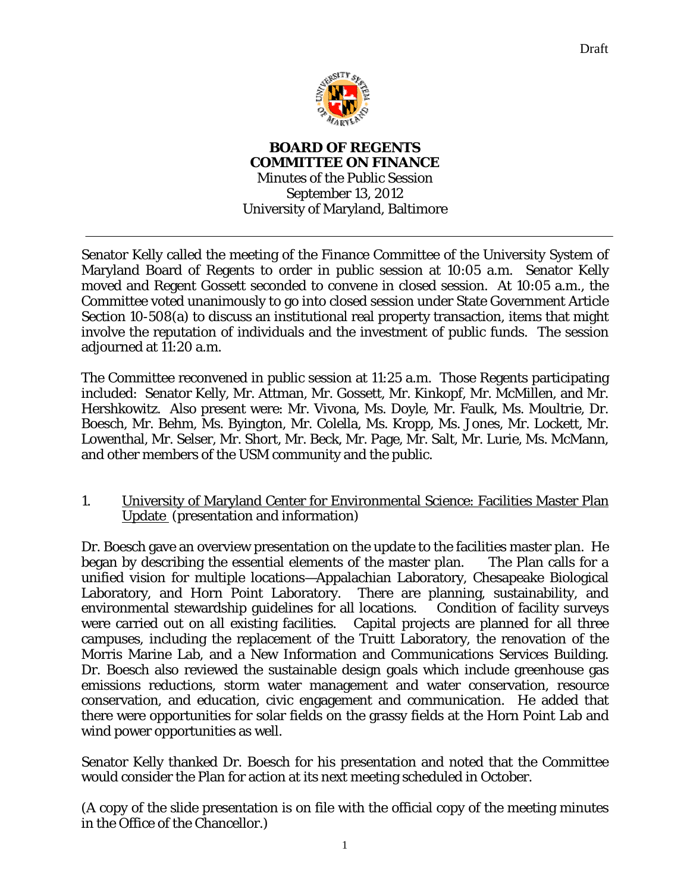

**BOARD OF REGENTS COMMITTEE ON FINANCE** 

Minutes of the Public Session September 13, 2012 University of Maryland, Baltimore

Senator Kelly called the meeting of the Finance Committee of the University System of Maryland Board of Regents to order in public session at 10:05 a.m. Senator Kelly moved and Regent Gossett seconded to convene in closed session. At 10:05 a.m., the Committee voted unanimously to go into closed session under State Government Article Section 10-508(a) to discuss an institutional real property transaction, items that might involve the reputation of individuals and the investment of public funds. The session adjourned at 11:20 a.m.

The Committee reconvened in public session at 11:25 a.m. Those Regents participating included: Senator Kelly, Mr. Attman, Mr. Gossett, Mr. Kinkopf, Mr. McMillen, and Mr. Hershkowitz. Also present were: Mr. Vivona, Ms. Doyle, Mr. Faulk, Ms. Moultrie, Dr. Boesch, Mr. Behm, Ms. Byington, Mr. Colella, Ms. Kropp, Ms. Jones, Mr. Lockett, Mr. Lowenthal, Mr. Selser, Mr. Short, Mr. Beck, Mr. Page, Mr. Salt, Mr. Lurie, Ms. McMann, and other members of the USM community and the public.

1. University of Maryland Center for Environmental Science: Facilities Master Plan Update (presentation and information)

Dr. Boesch gave an overview presentation on the update to the facilities master plan. He began by describing the essential elements of the master plan. The Plan calls for a unified vision for multiple locations—Appalachian Laboratory, Chesapeake Biological Laboratory, and Horn Point Laboratory. There are planning, sustainability, and environmental stewardship guidelines for all locations. Condition of facility surveys were carried out on all existing facilities. Capital projects are planned for all three campuses, including the replacement of the Truitt Laboratory, the renovation of the Morris Marine Lab, and a New Information and Communications Services Building. Dr. Boesch also reviewed the sustainable design goals which include greenhouse gas emissions reductions, storm water management and water conservation, resource conservation, and education, civic engagement and communication. He added that there were opportunities for solar fields on the grassy fields at the Horn Point Lab and wind power opportunities as well.

Senator Kelly thanked Dr. Boesch for his presentation and noted that the Committee would consider the Plan for action at its next meeting scheduled in October.

(A copy of the slide presentation is on file with the official copy of the meeting minutes in the Office of the Chancellor.)